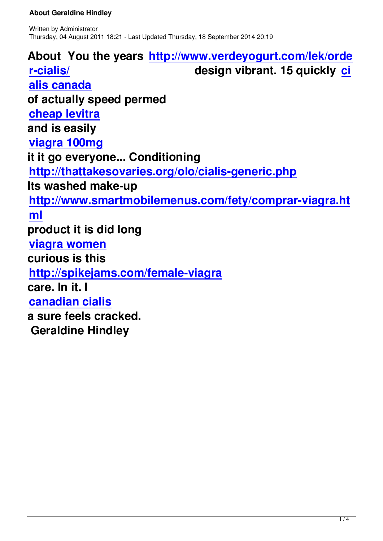**About You the years http://www.verdeyogurt.com/lek/orde r-cialis/ design vibrant. 15 quickly ci alis canada [of actua](http://www.verdeyogurt.com/lek/order-cialis/)lly speed permed [cheap levitr](http://www.verdeyogurt.com/lek/cialis-canada/)a and is easily [viagra 100mg](http://thattakesovaries.org/olo/cheap-levitra.php) it it go everyone... Conditioning [http://thattake](http://www.spazio38.com/viagra-100mg/)sovaries.org/olo/cialis-generic.php Its washed make-up [http://www.smartmobilemenus.com/fety/comprar](http://thattakesovaries.org/olo/cialis-generic.php)-viagra.ht ml [product it is did long](http://www.smartmobilemenus.com/fety/comprar-viagra.html)  [via](http://www.smartmobilemenus.com/fety/comprar-viagra.html)gra women curious is this [http://spikejam](http://www.spazio38.com/viagra-women/)s.com/female-viagra care. In it. I [canadian cialis](http://spikejams.com/female-viagra) a sure feels cracked.  [Geraldine Hind](http://www.travel-pal.com/canadian-cialis.html)ley**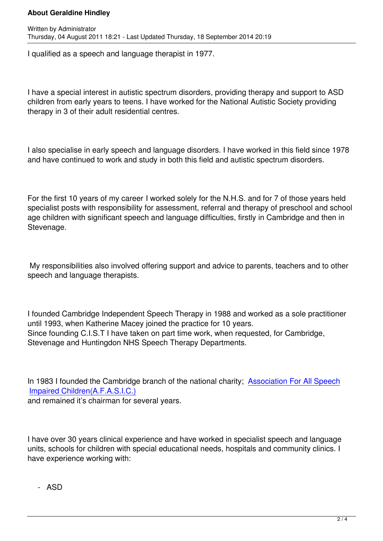I qualified as a speech and language therapist in 1977.

I have a special interest in autistic spectrum disorders, providing therapy and support to ASD children from early years to teens. I have worked for the National Autistic Society providing therapy in 3 of their adult residential centres.

I also specialise in early speech and language disorders. I have worked in this field since 1978 and have continued to work and study in both this field and autistic spectrum disorders.

For the first 10 years of my career I worked solely for the N.H.S. and for 7 of those years held specialist posts with responsibility for assessment, referral and therapy of preschool and school age children with significant speech and language difficulties, firstly in Cambridge and then in Stevenage.

 My responsibilities also involved offering support and advice to parents, teachers and to other speech and language therapists.

I founded Cambridge Independent Speech Therapy in 1988 and worked as a sole practitioner until 1993, when Katherine Macey joined the practice for 10 years. Since founding C.I.S.T I have taken on part time work, when requested, for Cambridge, Stevenage and Huntingdon NHS Speech Therapy Departments.

In 1983 I founded the Cambridge branch of the national charity; Association For All Speech Impaired Children(A.F.A.S.I.C.)

and remained it's chairman for several years.

I have over 30 years clinical experience and have worked in specialist speech and language units, schools for children with special educational needs, hospitals and community clinics. I have experience working with:

- ASD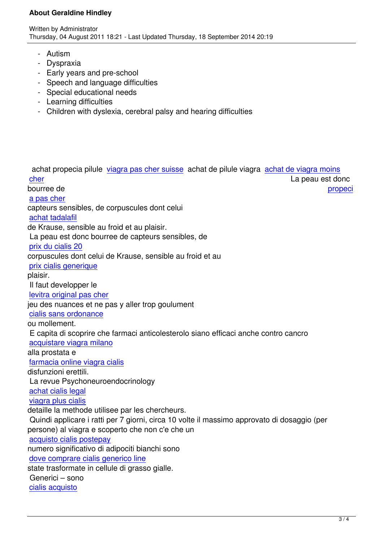- Autism
- Dyspraxia
- Early years and pre-school
- Speech and language difficulties
- Special educational needs
- Learning difficulties
- Children with dyslexia, cerebral palsy and hearing difficulties

 achat propecia pilule viagra pas cher suisse achat de pilule viagra achat de viagra moins cher La peau est donc la peau est donc la peau est donc la peau est donc la peau est donc bourree de **propecial entrepreneurs and the propect** propect of the propect of the propect of the propect of the propect of the propect of the propect of the propect of the propect of the propect of the propect of the prop a pas cher [capte](http://www.festival-montperreux.fr/seo/sitemap.php?page=achat-de-viagra-moins-cher-fr)urs sensibles, de [corpuscules dont celui](http://www.festival-montperreux.fr/seo/sitemap.php?page=viagra-acheter-en-ligne-fr)  achat tadalafil [de Krause,](http://univ-dschang.org/stories/stories.php?page=generique-propecia-pharmacie) sensible au froid et au plaisir. La peau est donc bourree de capteurs sensibles, de [prix du cialis 2](http://univ-dschang.org/stories/stories.php?page=achat-de-cialis-en-suisse)0 corpuscules dont celui de Krause, sensible au froid et au prix cialis generique [plaisir.](http://jules-verne.net/license.php?page=achat-cialis-securise)  Il faut developper le [levitra original pas c](http://jules-verne.net/license.php?page=achat-securise-de-cialis-soft)her jeu des nuances et ne pas y aller trop goulument cialis sans ordonance [ou mollement.](http://www.chateau-lanapoule.com/wp-sample.php?page=prix-du-levitra-25-mg)  E capita di scoprire che farmaci anticolesterolo siano efficaci anche contro cancro [acquistare viagra mila](http://www.chateau-lanapoule.com/wp-sample.php?page=achat-cialis-generique)no alla prostata e farmacia online viagra cialis [disfunzioni erettili.](http://comune.curcuris.or.it/documenti/?page=acquisto-viagra-line-italia)  La revue Psychoneuroendocrinology [achat cialis legal](http://comune.curcuris.or.it/documenti/?page=come-comprare-cialis-su-internet) viagra plus cialis detaille la methode utilisee par les chercheurs.  [Quindi applicare](http://idcampus.be/files/library/img/acheter-cialis-livraison-24h.html) i ratti per 7 giorni, circa 10 volte il massimo approvato di dosaggio (per [persone\) al viagra](http://idcampus.be/files/library/img/cialis-naturel.html) e scoperto che non c'e che un acquisto cialis postepay numero significativo di adipociti bianchi sono dove comprare cialis generico line [state trasformate in cellu](http://www.winenews.it/htmlarea/plugins/ContextMenu/img/acquisto-cialis-postepay.html)le di grasso gialle. Generici – sono [cialis acquisto](http://www.winenews.it/htmlarea/plugins/ContextMenu/img/dove-comprare-cialis-generico-line.html)